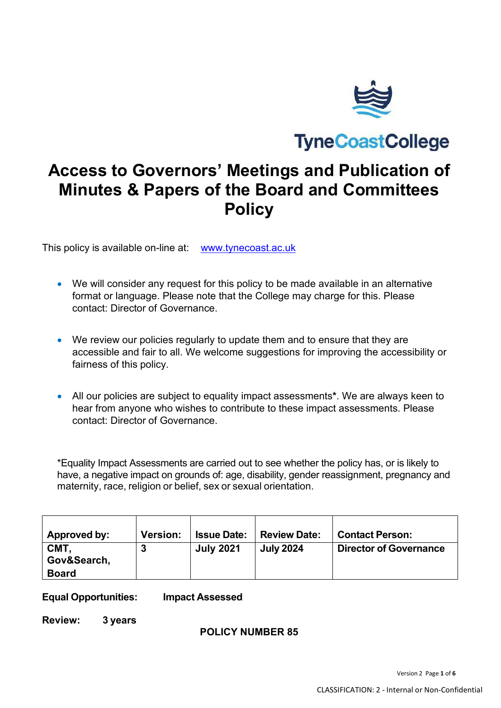

**TyneCoastCollege** 

# **Access to Governors' Meetings and Publication of Minutes & Papers of the Board and Committees Policy**

This policy is available on-line at: [www.tynecoast.ac.uk](http://www.tynecoast.ac.uk/)

- We will consider any request for this policy to be made available in an alternative format or language. Please note that the College may charge for this. Please contact: Director of Governance.
- We review our policies regularly to update them and to ensure that they are accessible and fair to all. We welcome suggestions for improving the accessibility or fairness of this policy.
- All our policies are subject to equality impact assessments**\***. We are always keen to hear from anyone who wishes to contribute to these impact assessments. Please contact: Director of Governance.

\*Equality Impact Assessments are carried out to see whether the policy has, or is likely to have, a negative impact on grounds of: age, disability, gender reassignment, pregnancy and maternity, race, religion or belief, sex or sexual orientation.

| Approved by:              | <b>Version:</b> | <b>Issue Date:</b> | <b>Review Date:</b> | <b>Contact Person:</b>        |
|---------------------------|-----------------|--------------------|---------------------|-------------------------------|
| <b>CMT</b><br>Gov&Search, |                 | <b>July 2021</b>   | <b>July 2024</b>    | <b>Director of Governance</b> |
| <b>Board</b>              |                 |                    |                     |                               |

#### **Equal Opportunities: Impact Assessed**

**Review: 3 years**

#### **POLICY NUMBER 85**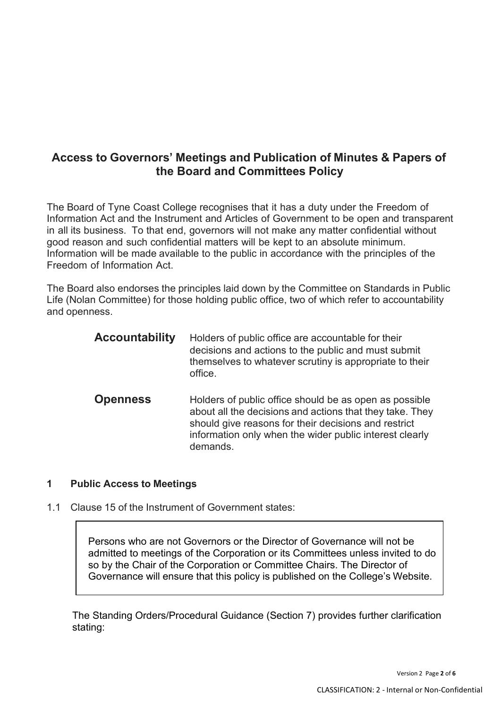## **Access to Governors' Meetings and Publication of Minutes & Papers of the Board and Committees Policy**

The Board of Tyne Coast College recognises that it has a duty under the Freedom of Information Act and the Instrument and Articles of Government to be open and transparent in all its business. To that end, governors will not make any matter confidential without good reason and such confidential matters will be kept to an absolute minimum. Information will be made available to the public in accordance with the principles of the Freedom of Information Act.

The Board also endorses the principles laid down by the Committee on Standards in Public Life (Nolan Committee) for those holding public office, two of which refer to accountability and openness.

| <b>Accountability</b> | Holders of public office are accountable for their<br>decisions and actions to the public and must submit<br>themselves to whatever scrutiny is appropriate to their<br>office.                                                                   |
|-----------------------|---------------------------------------------------------------------------------------------------------------------------------------------------------------------------------------------------------------------------------------------------|
| <b>Openness</b>       | Holders of public office should be as open as possible<br>about all the decisions and actions that they take. They<br>should give reasons for their decisions and restrict<br>information only when the wider public interest clearly<br>demands. |

#### **1 Public Access to Meetings**

1.1 Clause 15 of the Instrument of Government states:

Persons who are not Governors or the Director of Governance will not be admitted to meetings of the Corporation or its Committees unless invited to do so by the Chair of the Corporation or Committee Chairs. The Director of Governance will ensure that this policy is published on the College's Website.

The Standing Orders/Procedural Guidance (Section 7) provides further clarification stating: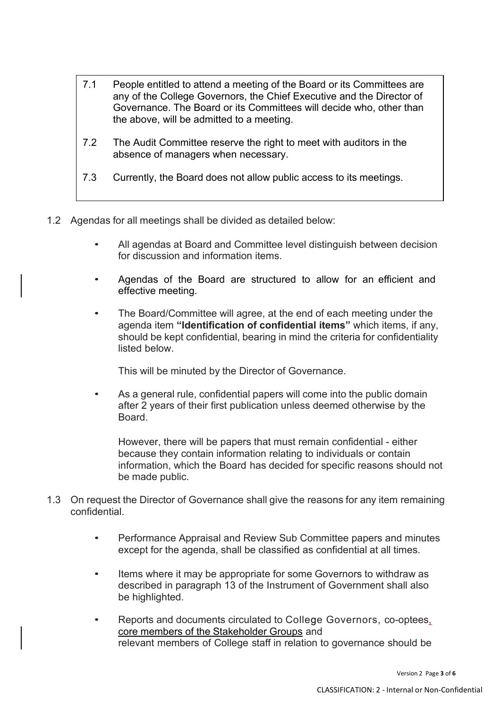- 7.1 People entitled to attend a meeting of the Board or its Committees are any of the College Governors, the Chief Executive and the Director of Governance. The Board or its Committees will decide who, other than the above, will be admitted to a meeting.
- 7.2 The Audit Committee reserve the right to meet with auditors in the absence of managers when necessary.
- 7.3 Currently, the Board does not allow public access to its meetings.
- 1.2 Agendas for all meetings shall be divided as detailed below:
	- All agendas at Board and Committee level distinguish between decision for discussion and information items.
	- Agendas of the Board are structured to allow for an efficient and effective meeting.
	- The Board/Committee will agree, at the end of each meeting under the agenda item **"Identification of confidential items"** which items, if any, should be kept confidential, bearing in mind the criteria for confidentiality listed below.

This will be minuted by the Director of Governance.

• As a general rule, confidential papers will come into the public domain after 2 years of their first publication unless deemed otherwise by the **Board** 

However, there will be papers that must remain confidential - either because they contain information relating to individuals or contain information, which the Board has decided for specific reasons should not be made public.

- 1.3 On request the Director of Governance shall give the reasons for any item remaining confidential.
	- Performance Appraisal and Review Sub Committee papers and minutes except for the agenda, shall be classified as confidential at all times.
	- Items where it may be appropriate for some Governors to withdraw as described in paragraph 13 of the Instrument of Government shall also be highlighted.
	- Reports and documents circulated to College Governors, co-optees, core members of the Stakeholder Groups and relevant members of College staff in relation to governance should be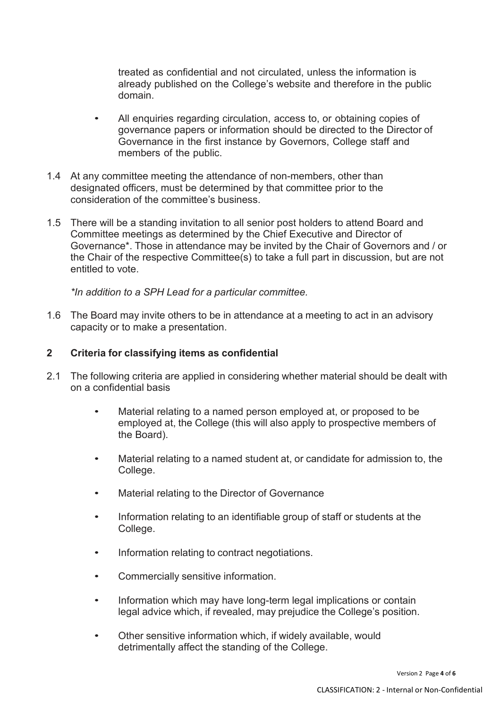treated as confidential and not circulated, unless the information is already published on the College's website and therefore in the public domain.

- All enquiries regarding circulation, access to, or obtaining copies of governance papers or information should be directed to the Director of Governance in the first instance by Governors, College staff and members of the public.
- 1.4 At any committee meeting the attendance of non-members, other than designated officers, must be determined by that committee prior to the consideration of the committee's business.
- 1.5 There will be a standing invitation to all senior post holders to attend Board and Committee meetings as determined by the Chief Executive and Director of Governance\*. Those in attendance may be invited by the Chair of Governors and / or the Chair of the respective Committee(s) to take a full part in discussion, but are not entitled to vote.

*\*In addition to a SPH Lead for a particular committee.*

1.6 The Board may invite others to be in attendance at a meeting to act in an advisory capacity or to make a presentation.

#### **2 Criteria for classifying items as confidential**

- 2.1 The following criteria are applied in considering whether material should be dealt with on a confidential basis
	- Material relating to a named person employed at, or proposed to be employed at, the College (this will also apply to prospective members of the Board).
	- Material relating to a named student at, or candidate for admission to, the College.
	- Material relating to the Director of Governance
	- Information relating to an identifiable group of staff or students at the College.
	- Information relating to contract negotiations.
	- Commercially sensitive information.
	- Information which may have long-term legal implications or contain legal advice which, if revealed, may prejudice the College's position.
	- Other sensitive information which, if widely available, would detrimentally affect the standing of the College.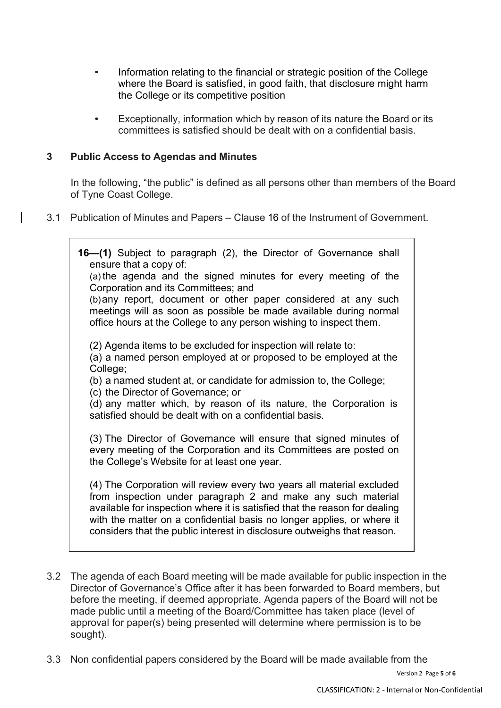- Information relating to the financial or strategic position of the College where the Board is satisfied, in good faith, that disclosure might harm the College or its competitive position
- Exceptionally, information which by reason of its nature the Board or its committees is satisfied should be dealt with on a confidential basis.

### **3 Public Access to Agendas and Minutes**

In the following, "the public" is defined as all persons other than members of the Board of Tyne Coast College.

3.1 Publication of Minutes and Papers – Clause 16 of the Instrument of Government.

| 16–(1) Subject to paragraph (2), the Director of Governance shall<br>ensure that a copy of:<br>(a) the agenda and the signed minutes for every meeting of the<br>Corporation and its Committees; and<br>(b) any report, document or other paper considered at any such<br>meetings will as soon as possible be made available during normal<br>office hours at the College to any person wishing to inspect them. |
|-------------------------------------------------------------------------------------------------------------------------------------------------------------------------------------------------------------------------------------------------------------------------------------------------------------------------------------------------------------------------------------------------------------------|
| (2) Agenda items to be excluded for inspection will relate to:<br>(a) a named person employed at or proposed to be employed at the<br>College;<br>(b) a named student at, or candidate for admission to, the College;<br>(c) the Director of Governance; or<br>(d) any matter which, by reason of its nature, the Corporation is<br>satisfied should be dealt with on a confidential basis.                       |
| (3) The Director of Governance will ensure that signed minutes of<br>every meeting of the Corporation and its Committees are posted on<br>the College's Website for at least one year.                                                                                                                                                                                                                            |
| (4) The Corporation will review every two years all material excluded<br>from inspection under paragraph 2 and make any such material<br>available for inspection where it is satisfied that the reason for dealing<br>with the matter on a confidential basis no longer applies, or where it<br>considers that the public interest in disclosure outweighs that reason.                                          |

- 3.2 The agenda of each Board meeting will be made available for public inspection in the Director of Governance's Office after it has been forwarded to Board members, but before the meeting, if deemed appropriate. Agenda papers of the Board will not be made public until a meeting of the Board/Committee has taken place (level of approval for paper(s) being presented will determine where permission is to be sought).
- 3.3 Non confidential papers considered by the Board will be made available from the